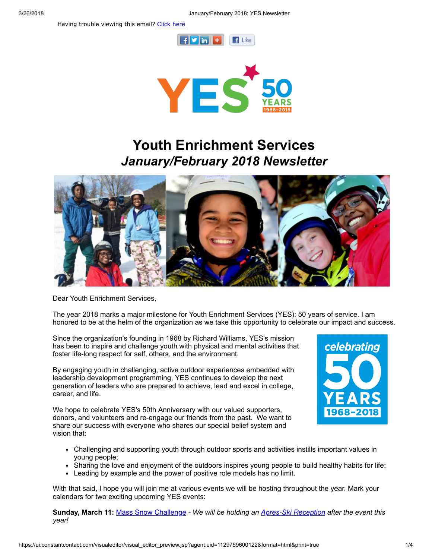Having trouble viewing this email? [Click](http://campaign.r20.constantcontact.com/render?ca=8141d665-bae1-42d1-9a01-a5d7cde06da6&preview=true&m=1101413331897&id=preview) here





# Youth Enrichment Services January/February 2018 Newsletter



Dear Youth Enrichment Services,

The year 2018 marks a major milestone for Youth Enrichment Services (YES): 50 years of service. I am honored to be at the helm of the organization as we take this opportunity to celebrate our impact and success.

Since the organization's founding in 1968 by Richard Williams, YES's mission has been to inspire and challenge youth with physical and mental activities that foster life-long respect for self, others, and the environment.

By engaging youth in challenging, active outdoor experiences embedded with leadership development programming, YES continues to develop the next generation of leaders who are prepared to achieve, lead and excel in college, career, and life.

We hope to celebrate YES's 50th Anniversary with our valued supporters, donors, and volunteers and re-engage our friends from the past. We want to share our success with everyone who shares our special belief system and vision that:



- Challenging and supporting youth through outdoor sports and activities instills important values in young people;
- Sharing the love and enjoyment of the outdoors inspires young people to build healthy habits for life;
- Leading by example and the power of positive role models has no limit.

With that said, I hope you will join me at various events we will be hosting throughout the year. Mark your calendars for two exciting upcoming YES events:

Sunday, March 11: Mass Snow [Challenge](http://www.yeskids.org/event/2018-mass-snow-challenge/) - We will be holding an Apres-Ski [Reception](https://www.eventbrite.com/e/apres-ski-reception-tickets-42056842147) after the event this year!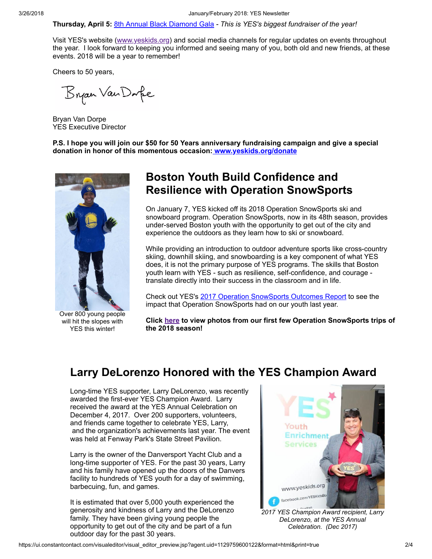Thursday, April 5: 8th Annual Black [Diamond](http://www.yeskids.org/event/8th-annual-black-diamond-gala/) Gala - This is YES's biggest fundraiser of the year!

Visit YES's website ([www.yeskids.org](http://www.yeskids.org/)) and social media channels for regular updates on events throughout the year. I look forward to keeping you informed and seeing many of you, both old and new friends, at these events. 2018 will be a year to remember!

Cheers to 50 years,

Bryan Van Dafe

Bryan Van Dorpe YES Executive Director

P.S. I hope you will join our \$50 for 50 Years anniversary fundraising campaign and give a special donation in honor of this momentous occasion: [www.yeskids.org/donate](http://www.yeskids.org/donate)



Over 800 young people will hit the slopes with YES this winter!

### Boston Youth Build Confidence and Resilience with Operation SnowSports

On January 7, YES kicked off its 2018 Operation SnowSports ski and snowboard program. Operation SnowSports, now in its 48th season, provides under-served Boston youth with the opportunity to get out of the city and experience the outdoors as they learn how to ski or snowboard.

While providing an introduction to outdoor adventure sports like cross-country skiing, downhill skiing, and snowboarding is a key component of what YES does, it is not the primary purpose of YES programs. The skills that Boston youth learn with YES - such as resilience, self-confidence, and courage translate directly into their success in the classroom and in life.

Check out YES's 2017 Operation [SnowSports](http://www.yeskids.org/wp-content/uploads/2018/01/Outcomes-Report_OS-FY17_Short-Report.pdf) Outcomes Report to see the impact that Operation SnowSports had on our youth last year.

Click [here](https://www.facebook.com/pg/yeskidsboston/photos/?tab=album&album_id=10155818208246224) to view photos from our first few Operation SnowSports trips of the 2018 season!

### Larry DeLorenzo Honored with the YES Champion Award

Long-time YES supporter, Larry DeLorenzo, was recently awarded the first-ever YES Champion Award. Larry received the award at the YES Annual Celebration on December 4, 2017. Over 200 supporters, volunteers, and friends came together to celebrate YES, Larry, and the organization's achievements last year. The event was held at Fenway Park's State Street Pavilion.

Larry is the owner of the Danversport Yacht Club and a long-time supporter of YES. For the past 30 years, Larry and his family have opened up the doors of the Danvers facility to hundreds of YES youth for a day of swimming, barbecuing, fun, and games.

It is estimated that over 5,000 youth experienced the generosity and kindness of Larry and the DeLorenzo family. They have been giving young people the opportunity to get out of the city and be part of a fun outdoor day for the past 30 years.



DeLorenzo, at the YES Annual Celebration. (Dec 2017)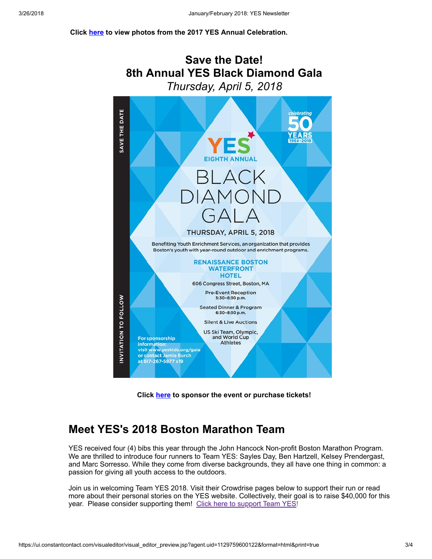#### Click [here](https://www.facebook.com/pg/yeskidsboston/photos/?tab=album&album_id=10155722321706224) to view photos from the 2017 YES Annual Celebration.



Click [here](https://53810.thankyou4caring.org/pages/8th-annual-black-diamond-gala) to sponsor the event or purchase tickets!

### Meet YES's 2018 Boston Marathon Team

YES received four (4) bibs this year through the John Hancock Non-profit Boston Marathon Program. We are thrilled to introduce four runners to Team YES: Sayles Day, Ben Hartzell, Kelsey Prendergast, and Marc Sorresso. While they come from diverse backgrounds, they all have one thing in common: a passion for giving all youth access to the outdoors.

Join us in welcoming Team YES 2018. Visit their Crowdrise pages below to support their run or read more about their personal stories on the YES website. Collectively, their goal is to raise \$40,000 for this year. Please consider [support](https://www.crowdrise.com/youthenrichmentservicesincboston2018)ing them! Click here to support Team YES!